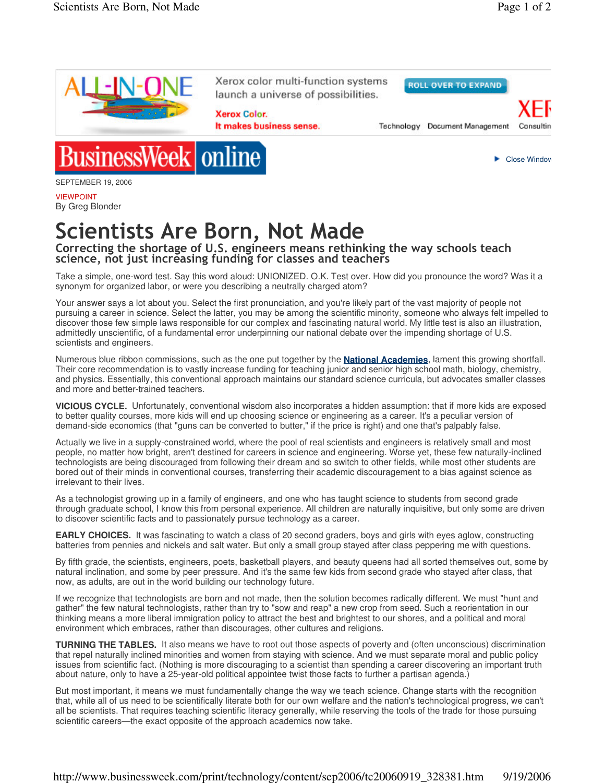

VIEWPOINT By Greg Blonder

## Scientists Are Born, Not Made

## Correcting the shortage of  $U_{\rm s}$ S. engineers means rethinking the way schools teach science, not just increasing funding for classes and teachers

Take a simple, one-word test. Say this word aloud: UNIONIZED. O.K. Test over. How did you pronounce the word? Was it a synonym for organized labor, or were you describing a neutrally charged atom?

Your answer says a lot about you. Select the first pronunciation, and you're likely part of the vast majority of people not pursuing a career in science. Select the latter, you may be among the scientific minority, someone who always felt impelled to discover those few simple laws responsible for our complex and fascinating natural world. My little test is also an illustration, admittedly unscientific, of a fundamental error underpinning our national debate over the impending shortage of U.S. scientists and engineers.

Numerous blue ribbon commissions, such as the one put together by the **National Academies**, lament this growing shortfall. Their core recommendation is to vastly increase funding for teaching junior and senior high school math, biology, chemistry, and physics. Essentially, this conventional approach maintains our standard science curricula, but advocates smaller classes and more and better-trained teachers.

**VICIOUS CYCLE.** Unfortunately, conventional wisdom also incorporates a hidden assumption: that if more kids are exposed to better quality courses, more kids will end up choosing science or engineering as a career. It's a peculiar version of demand-side economics (that "guns can be converted to butter," if the price is right) and one that's palpably false.

Actually we live in a supply-constrained world, where the pool of real scientists and engineers is relatively small and most people, no matter how bright, aren't destined for careers in science and engineering. Worse yet, these few naturally-inclined technologists are being discouraged from following their dream and so switch to other fields, while most other students are bored out of their minds in conventional courses, transferring their academic discouragement to a bias against science as irrelevant to their lives.

As a technologist growing up in a family of engineers, and one who has taught science to students from second grade through graduate school, I know this from personal experience. All children are naturally inquisitive, but only some are driven to discover scientific facts and to passionately pursue technology as a career.

**EARLY CHOICES.** It was fascinating to watch a class of 20 second graders, boys and girls with eyes aglow, constructing batteries from pennies and nickels and salt water. But only a small group stayed after class peppering me with questions.

By fifth grade, the scientists, engineers, poets, basketball players, and beauty queens had all sorted themselves out, some by natural inclination, and some by peer pressure. And it's the same few kids from second grade who stayed after class, that now, as adults, are out in the world building our technology future.

If we recognize that technologists are born and not made, then the solution becomes radically different. We must "hunt and gather" the few natural technologists, rather than try to "sow and reap" a new crop from seed. Such a reorientation in our thinking means a more liberal immigration policy to attract the best and brightest to our shores, and a political and moral environment which embraces, rather than discourages, other cultures and religions.

**TURNING THE TABLES.** It also means we have to root out those aspects of poverty and (often unconscious) discrimination that repel naturally inclined minorities and women from staying with science. And we must separate moral and public policy issues from scientific fact. (Nothing is more discouraging to a scientist than spending a career discovering an important truth about nature, only to have a 25-year-old political appointee twist those facts to further a partisan agenda.)

But most important, it means we must fundamentally change the way we teach science. Change starts with the recognition that, while all of us need to be scientifically literate both for our own welfare and the nation's technological progress, we can't all be scientists. That requires teaching scientific literacy generally, while reserving the tools of the trade for those pursuing scientific careers—the exact opposite of the approach academics now take.